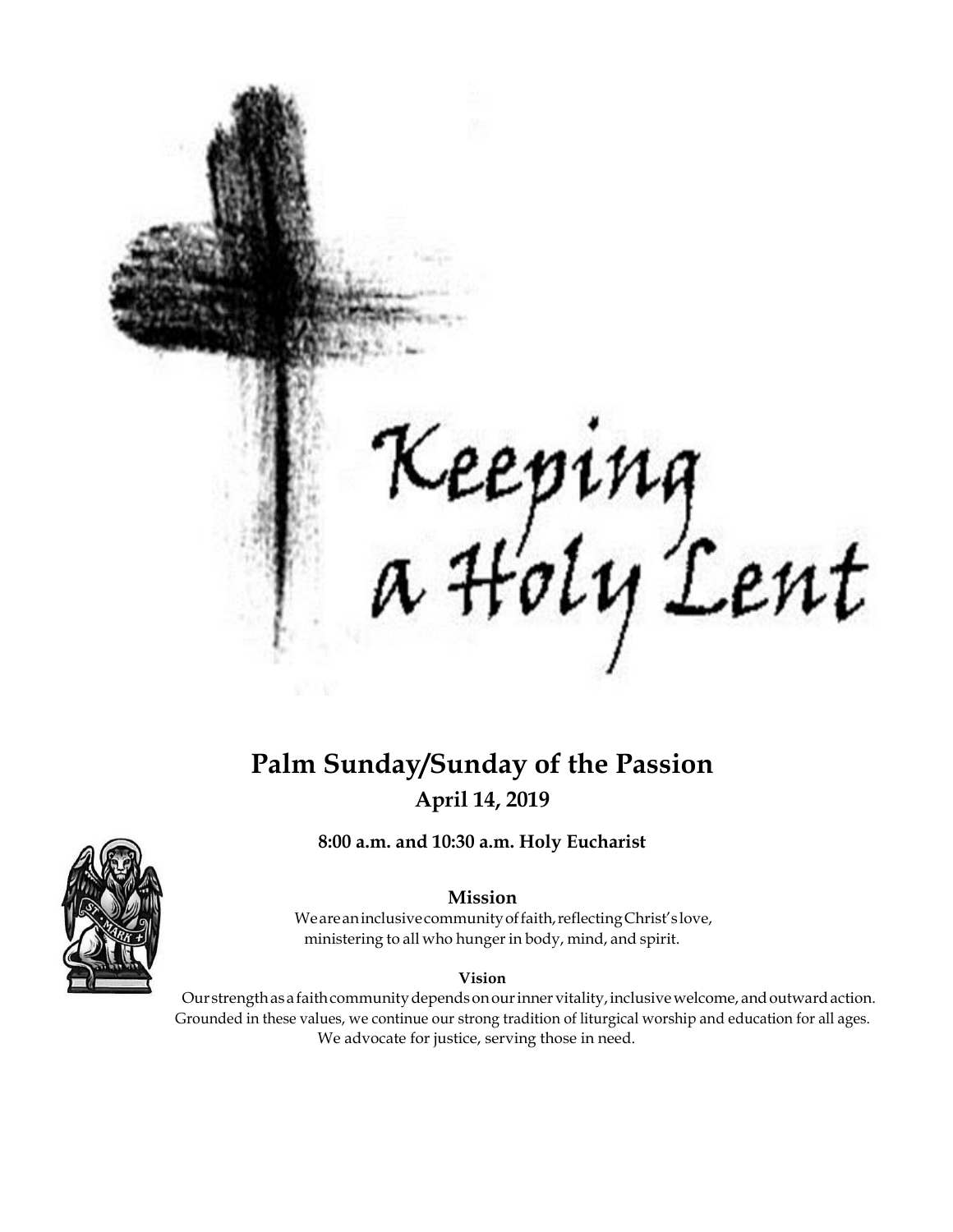Keeping<br>a Holy Lent

# **Palm Sunday/Sunday of the Passion April 14, 2019**

**8:00 a.m. and 10:30 a.m. Holy Eucharist**



We are an inclusive community of faith, reflecting Christ's love, ministering to all who hunger in body, mind, and spirit.

#### **Vision**

Our strength as a faith community depends on our inner vitality, inclusive welcome, and outward action. Grounded in these values, we continue our strong tradition of liturgical worship and education for all ages. We advocate for justice, serving those in need.

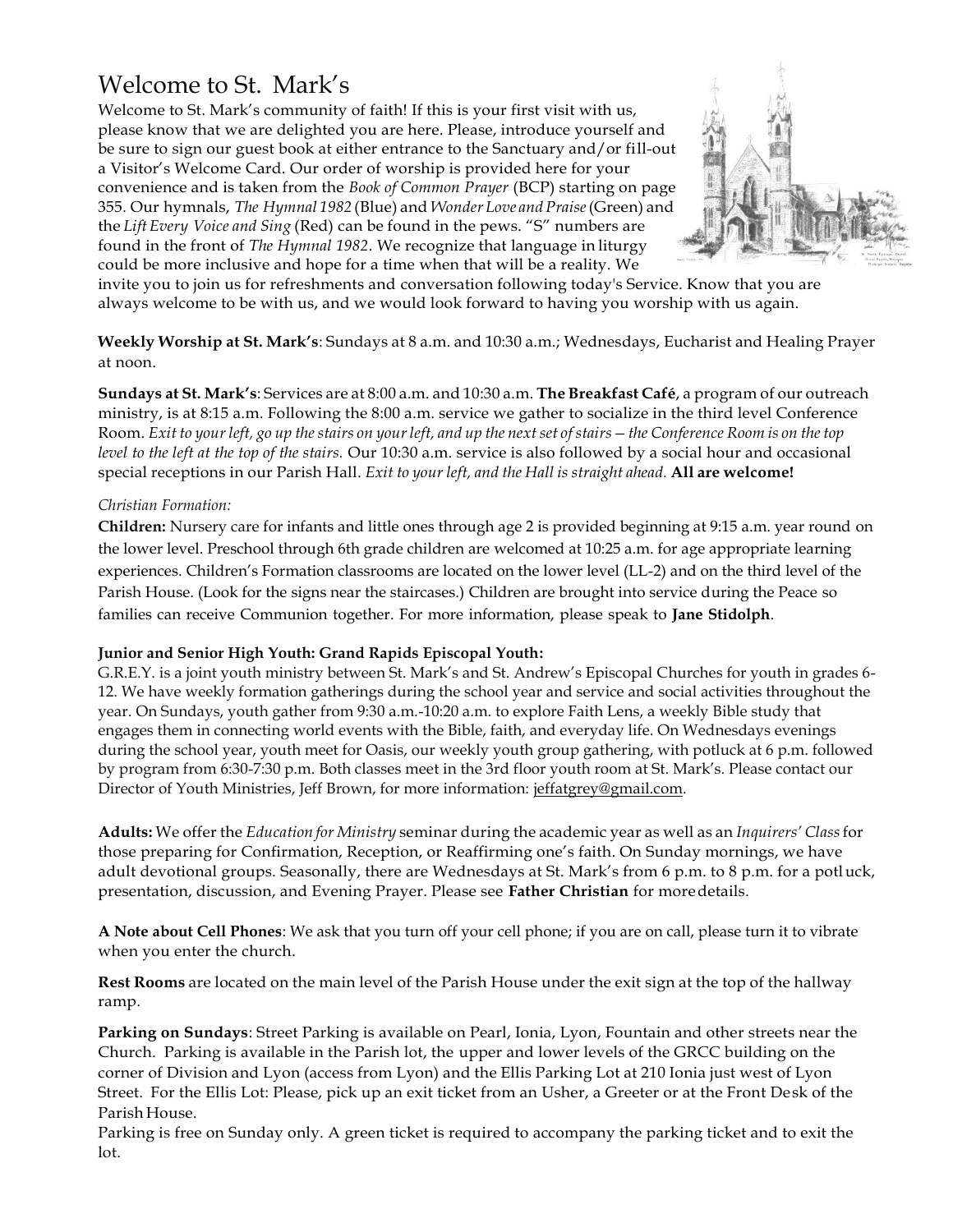# Welcome to St. Mark's

Welcome to St. Mark's community of faith! If this is your first visit with us, please know that we are delighted you are here. Please, introduce yourself and be sure to sign our guest book at either entrance to the Sanctuary and/or fill-out a Visitor's Welcome Card. Our order of worship is provided here for your convenience and is taken from the *Book of Common Prayer* (BCP) starting on page 355. Our hymnals, *The Hymnal 1982* (Blue) and *Wonder Love and Praise*(Green) and the *LiftEvery Voice and Sing* (Red) can be found in the pews. "S" numbers are found in the front of *The Hymnal 1982*. We recognize that language in liturgy could be more inclusive and hope for a time when that will be a reality. We



invite you to join us for refreshments and conversation following today's Service. Know that you are always welcome to be with us, and we would look forward to having you worship with us again.

**Weekly Worship at St. Mark's**: Sundays at 8 a.m. and 10:30 a.m.; Wednesdays, Eucharist and Healing Prayer at noon.

**Sundays at St. Mark's**: Services are at 8:00 a.m. and 10:30 a.m. **The Breakfast Café**, a program of our outreach ministry, is at 8:15 a.m. Following the 8:00 a.m. service we gather to socialize in the third level Conference Room. Exit to your left, go up the stairs on your left, and up the next set of stairs – the Conference Room is on the top *level to the left at the top of the stairs.* Our 10:30 a.m. service is also followed by a social hour and occasional special receptions in our Parish Hall. *Exit to your left, and the Hall is straight ahead.* **All are welcome!**

#### *Christian Formation:*

**Children:** Nursery care for infants and little ones through age 2 is provided beginning at 9:15 a.m. year round on the lower level. Preschool through 6th grade children are welcomed at 10:25 a.m. for age appropriate learning experiences. Children's Formation classrooms are located on the lower level (LL-2) and on the third level of the Parish House. (Look for the signs near the staircases.) Children are brought into service during the Peace so families can receive Communion together. For more information, please speak to **Jane Stidolph**.

#### **Junior and Senior High Youth: Grand Rapids Episcopal Youth:**

G.R.E.Y. is a joint youth ministry between St. Mark's and St. Andrew's Episcopal Churches for youth in grades 6- 12. We have weekly formation gatherings during the school year and service and social activities throughout the year. On Sundays, youth gather from 9:30 a.m.-10:20 a.m. to explore Faith Lens, a weekly Bible study that engages them in connecting world events with the Bible, faith, and everyday life. On Wednesdays evenings during the school year, youth meet for Oasis, our weekly youth group gathering, with potluck at 6 p.m. followed by program from 6:30-7:30 p.m. Both classes meet in the 3rd floor youth room at St. Mark's. Please contact our Director of Youth Ministries, Jeff Brown, for more information: [jeffatgrey@gmail.com.](mailto:jeffatgrey@gmail.com)

**Adults:** We offer the *Education for Ministry* seminar during the academic year as well as an *Inquirers' Class*for those preparing for Confirmation, Reception, or Reaffirming one's faith. On Sunday mornings, we have adult devotional groups. Seasonally, there are Wednesdays at St. Mark's from 6 p.m. to 8 p.m. for a potluck, presentation, discussion, and Evening Prayer. Please see **Father Christian** for moredetails.

**A Note about Cell Phones**: We ask that you turn off your cell phone; if you are on call, please turn it to vibrate when you enter the church.

**Rest Rooms** are located on the main level of the Parish House under the exit sign at the top of the hallway ramp.

**Parking on Sundays**: Street Parking is available on Pearl, Ionia, Lyon, Fountain and other streets near the Church. Parking is available in the Parish lot, the upper and lower levels of the GRCC building on the corner of Division and Lyon (access from Lyon) and the Ellis Parking Lot at 210 Ionia just west of Lyon Street. For the Ellis Lot: Please, pick up an exit ticket from an Usher, a Greeter or at the Front Desk of the Parish House.

Parking is free on Sunday only. A green ticket is required to accompany the parking ticket and to exit the lot.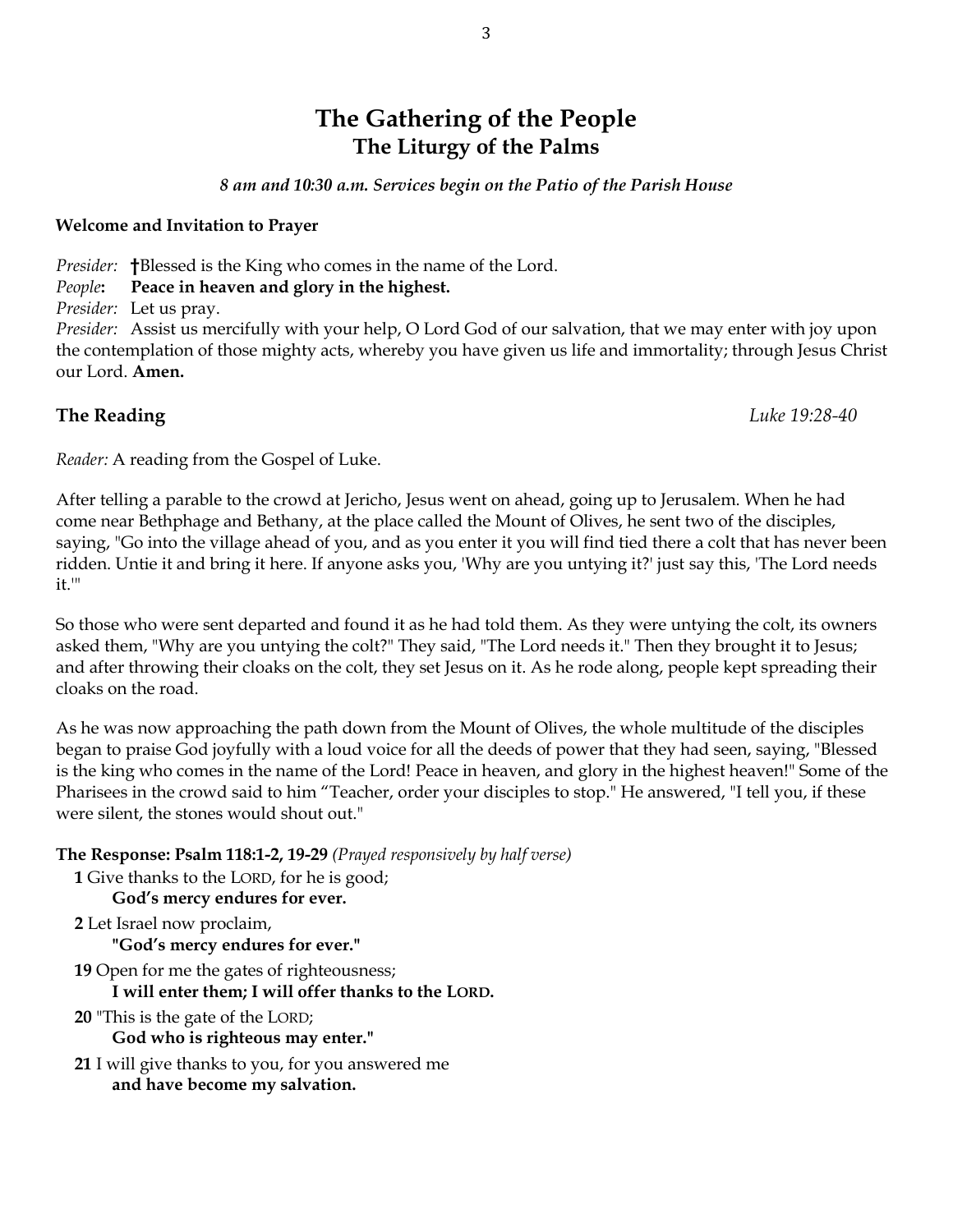# **The Gathering of the People The Liturgy of the Palms**

*8 am and 10:30 a.m. Services begin on the Patio of the Parish House*

#### **Welcome and Invitation to Prayer**

*Presider:* **†**Blessed is the King who comes in the name of the Lord. *People***: Peace in heaven and glory in the highest.** *Presider:* Let us pray. *Presider:* Assist us mercifully with your help, O Lord God of our salvation, that we may enter with joy upon the contemplation of those mighty acts, whereby you have given us life and immortality; through Jesus Christ our Lord. **Amen.**

# **The Reading** *Luke 19:28-40*

*Reader:* A reading from the Gospel of Luke.

After telling a parable to the crowd at Jericho, Jesus went on ahead, going up to Jerusalem. When he had come near Bethphage and Bethany, at the place called the Mount of Olives, he sent two of the disciples, saying, "Go into the village ahead of you, and as you enter it you will find tied there a colt that has never been ridden. Untie it and bring it here. If anyone asks you, 'Why are you untying it?' just say this, 'The Lord needs it.'"

So those who were sent departed and found it as he had told them. As they were untying the colt, its owners asked them, "Why are you untying the colt?" They said, "The Lord needs it." Then they brought it to Jesus; and after throwing their cloaks on the colt, they set Jesus on it. As he rode along, people kept spreading their cloaks on the road.

As he was now approaching the path down from the Mount of Olives, the whole multitude of the disciples began to praise God joyfully with a loud voice for all the deeds of power that they had seen, saying, "Blessed is the king who comes in the name of the Lord! Peace in heaven, and glory in the highest heaven!" Some of the Pharisees in the crowd said to him "Teacher, order your disciples to stop." He answered, "I tell you, if these were silent, the stones would shout out."

# **The Response: Psalm 118:1-2, 19-29** *(Prayed responsively by half verse)*

**1** Give thanks to the LORD, for he is good;

**God's mercy endures for ever.**

**2** Let Israel now proclaim,

**"God's mercy endures for ever."**

#### **19** Open for me the gates of righteousness; **I will enter them; I will offer thanks to the LORD.**

- **20** "This is the gate of the LORD;
	- **God who is righteous may enter."**
- **21** I will give thanks to you, for you answered me **and have become my salvation.**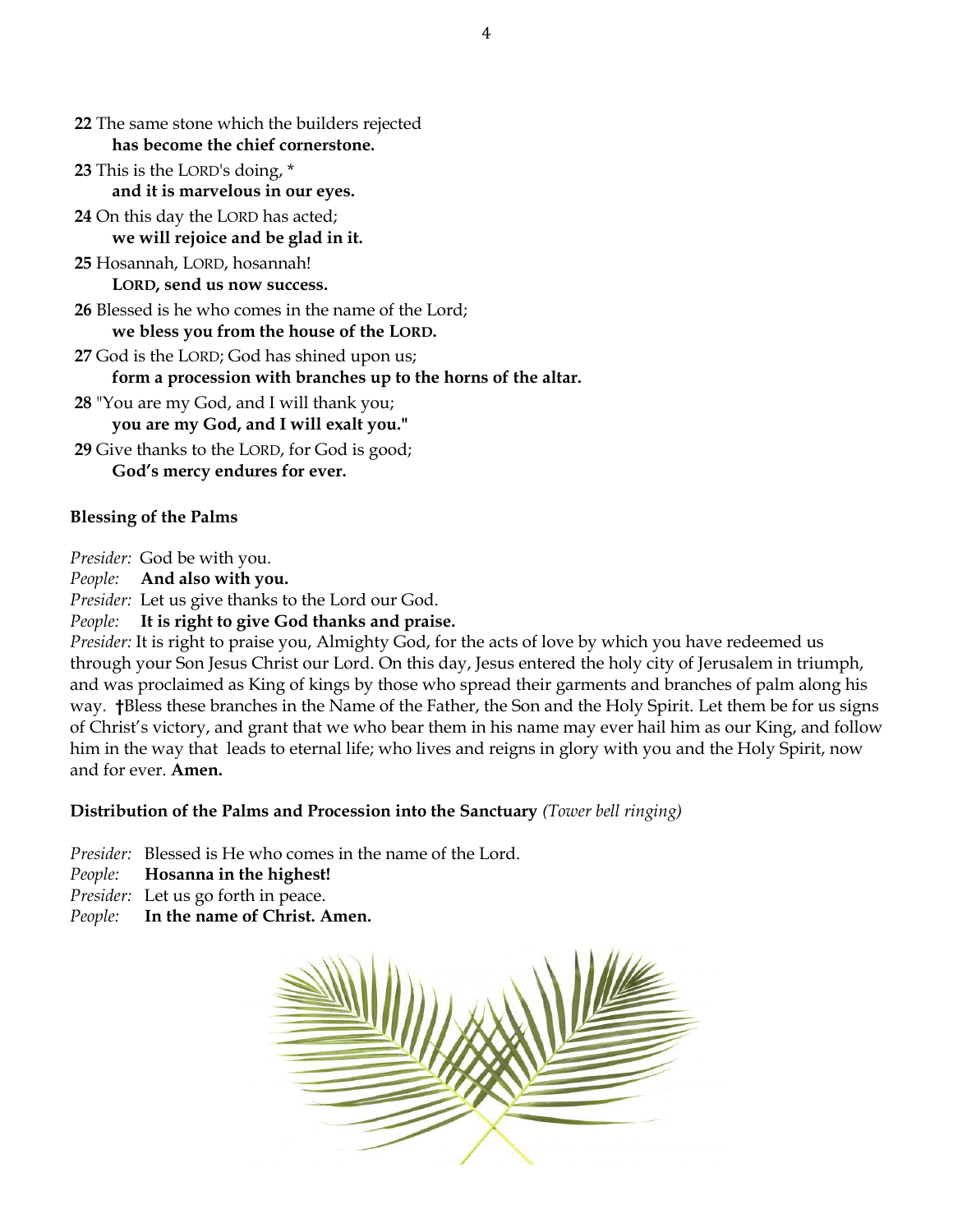| 22 The same stone which the builders rejected<br>has become the chief cornerstone.                           |
|--------------------------------------------------------------------------------------------------------------|
| 23 This is the LORD's doing, *<br>and it is marvelous in our eyes.                                           |
| <b>24</b> On this day the LORD has acted;<br>we will rejoice and be glad in it.                              |
| 25 Hosannah, LORD, hosannah!<br>LORD, send us now success.                                                   |
| <b>26</b> Blessed is he who comes in the name of the Lord;<br>we bless you from the house of the LORD.       |
| 27 God is the LORD; God has shined upon us;<br>form a procession with branches up to the horns of the altar. |
| 28 "You are my God, and I will thank you;<br>you are my God, and I will exalt you."                          |
| 29 Give thanks to the LORD, for God is good;<br>God's mercy endures for ever.                                |

# **Blessing of the Palms**

*Presider:* God be with you.

*People:* **And also with you.**

*Presider:* Let us give thanks to the Lord our God.

*People:* **It is right to give God thanks and praise.**

*Presider:* It is right to praise you, Almighty God, for the acts of love by which you have redeemed us through your Son Jesus Christ our Lord. On this day, Jesus entered the holy city of Jerusalem in triumph, and was proclaimed as King of kings by those who spread their garments and branches of palm along his way. **†**Bless these branches in the Name of the Father, the Son and the Holy Spirit. Let them be for us signs of Christ's victory, and grant that we who bear them in his name may ever hail him as our King, and follow him in the way that leads to eternal life; who lives and reigns in glory with you and the Holy Spirit, now and for ever. **Amen.**

#### **Distribution of the Palms and Procession into the Sanctuary** *(Tower bell ringing)*

*Presider:* Blessed is He who comes in the name of the Lord.

- *People:* **Hosanna in the highest!**
- *Presider:* Let us go forth in peace.
- *People:* **In the name of Christ. Amen.**

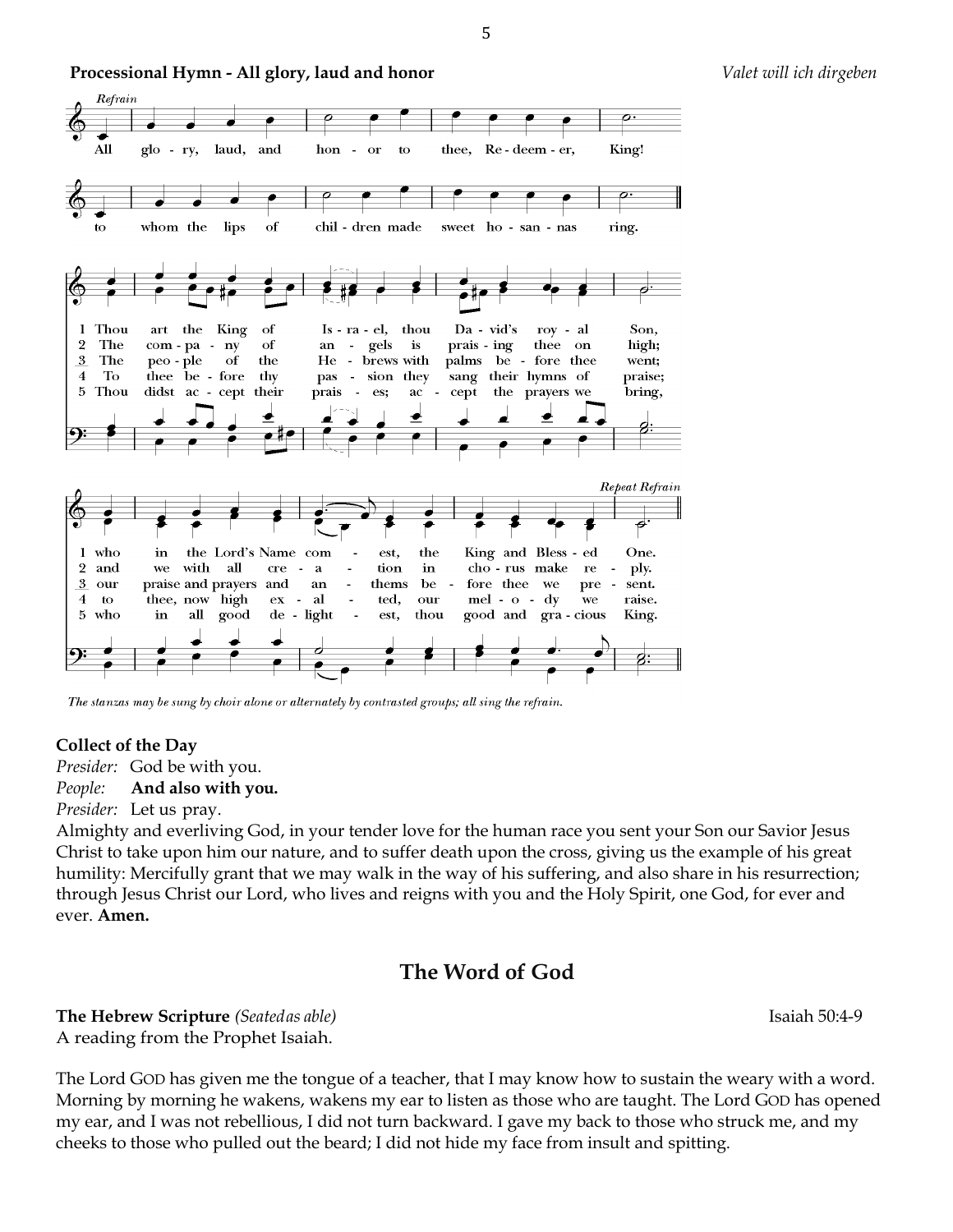**Processional Hymn - All glory, laud and honor** *Valet will ich dirgeben*



The stanzas may be sung by choir alone or alternately by contrasted groups; all sing the refrain.

#### **Collect of the Day**

*Presider:* God be with you.

*People:* **And also with you.**

*Presider:* Let us pray.

Almighty and everliving God, in your tender love for the human race you sent your Son our Savior Jesus Christ to take upon him our nature, and to suffer death upon the cross, giving us the example of his great humility: Mercifully grant that we may walk in the way of his suffering, and also share in his resurrection; through Jesus Christ our Lord, who lives and reigns with you and the Holy Spirit, one God, for ever and ever. **Amen.**

# **The Word of God**

**The Hebrew Scripture** *(Seatedas able)* Isaiah 50:4-9 A reading from the Prophet Isaiah.

The Lord GOD has given me the tongue of a teacher, that I may know how to sustain the weary with a word. Morning by morning he wakens, wakens my ear to listen as those who are taught. The Lord GOD has opened my ear, and I was not rebellious, I did not turn backward. I gave my back to those who struck me, and my cheeks to those who pulled out the beard; I did not hide my face from insult and spitting.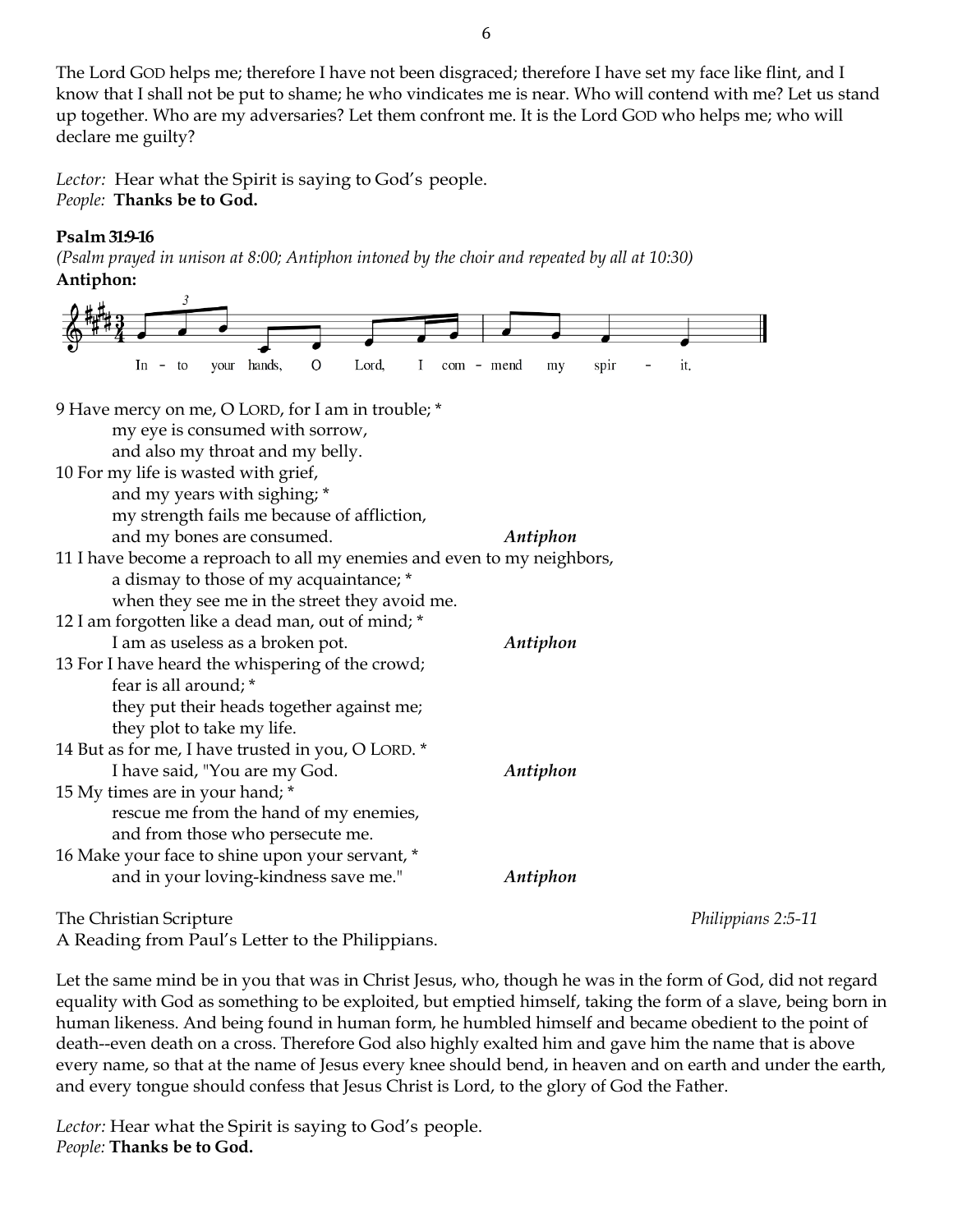The Lord GOD helps me; therefore I have not been disgraced; therefore I have set my face like flint, and I know that I shall not be put to shame; he who vindicates me is near. Who will contend with me? Let us stand up together. Who are my adversaries? Let them confront me. It is the Lord GOD who helps me; who will declare me guilty?

*Lector:* Hear what the Spirit is saying to God's people. *People:* **Thanks be to God.**

## **Psalm 31:9-16**

*(Psalm prayed in unison at 8:00; Antiphon intoned by the choir and repeated by all at 10:30)* **Antiphon:**



Let the same mind be in you that was in Christ Jesus, who, though he was in the form of God, did not regard equality with God as something to be exploited, but emptied himself, taking the form of a slave, being born in human likeness. And being found in human form, he humbled himself and became obedient to the point of death--even death on a cross. Therefore God also highly exalted him and gave him the name that is above every name, so that at the name of Jesus every knee should bend, in heaven and on earth and under the earth, and every tongue should confess that Jesus Christ is Lord, to the glory of God the Father.

*Lector:* Hear what the Spirit is saying to God's people. *People:* **Thanks be to God.**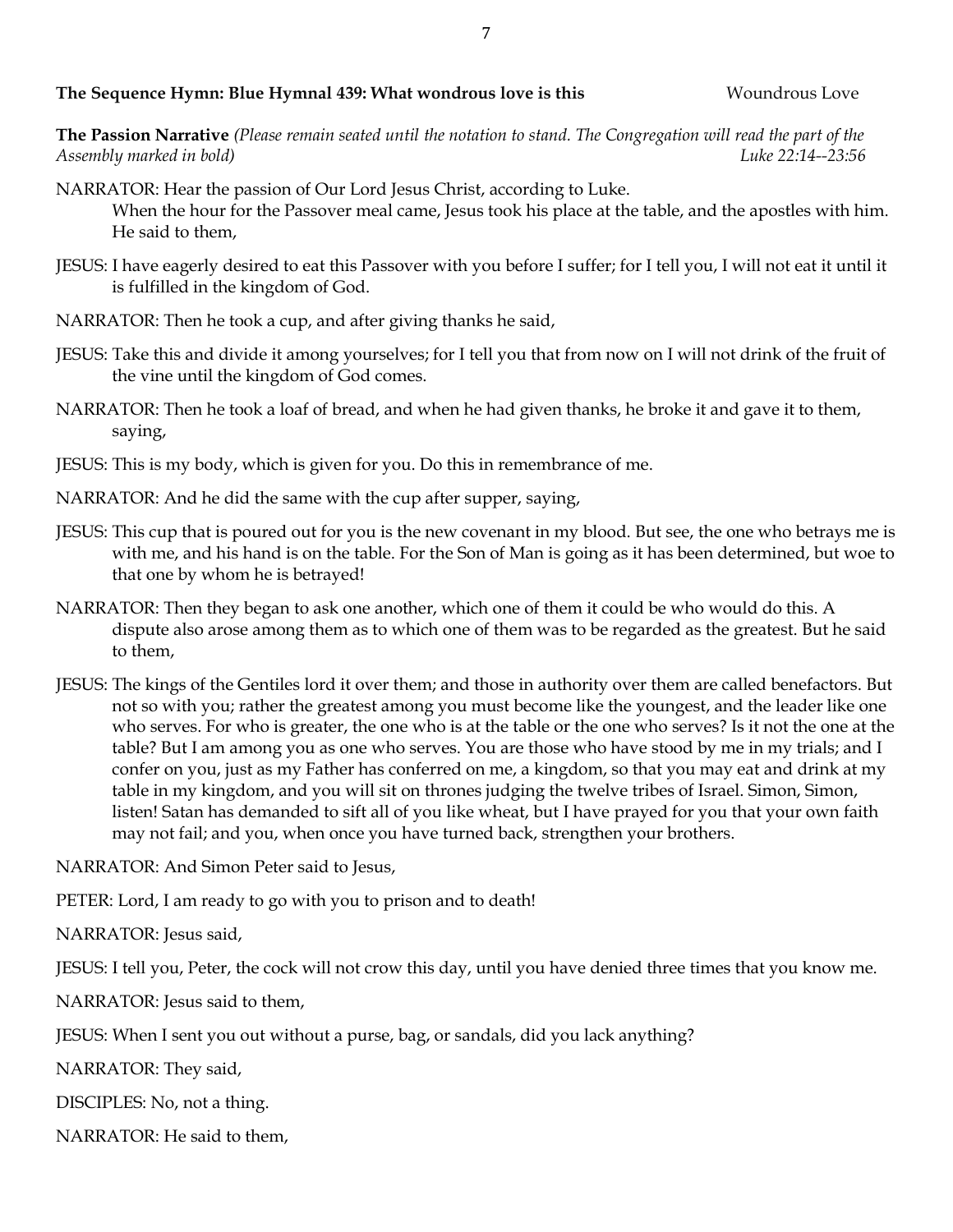# **The Sequence Hymn: Blue Hymnal 439: What wondrous love is this** Woundrous Love

**The Passion Narrative** *(Please remain seated until the notation to stand. The Congregation will read the part of the Assembly marked in bold) Luke 22:14--23:56*

- NARRATOR: Hear the passion of Our Lord Jesus Christ, according to Luke. When the hour for the Passover meal came, Jesus took his place at the table, and the apostles with him. He said to them,
- JESUS: I have eagerly desired to eat this Passover with you before I suffer; for I tell you, I will not eat it until it is fulfilled in the kingdom of God.
- NARRATOR: Then he took a cup, and after giving thanks he said,
- JESUS: Take this and divide it among yourselves; for I tell you that from now on I will not drink of the fruit of the vine until the kingdom of God comes.
- NARRATOR: Then he took a loaf of bread, and when he had given thanks, he broke it and gave it to them, saying,
- JESUS: This is my body, which is given for you. Do this in remembrance of me.
- NARRATOR: And he did the same with the cup after supper, saying,
- JESUS: This cup that is poured out for you is the new covenant in my blood. But see, the one who betrays me is with me, and his hand is on the table. For the Son of Man is going as it has been determined, but woe to that one by whom he is betrayed!
- NARRATOR: Then they began to ask one another, which one of them it could be who would do this. A dispute also arose among them as to which one of them was to be regarded as the greatest. But he said to them,
- JESUS: The kings of the Gentiles lord it over them; and those in authority over them are called benefactors. But not so with you; rather the greatest among you must become like the youngest, and the leader like one who serves. For who is greater, the one who is at the table or the one who serves? Is it not the one at the table? But I am among you as one who serves. You are those who have stood by me in my trials; and I confer on you, just as my Father has conferred on me, a kingdom, so that you may eat and drink at my table in my kingdom, and you will sit on thrones judging the twelve tribes of Israel. Simon, Simon, listen! Satan has demanded to sift all of you like wheat, but I have prayed for you that your own faith may not fail; and you, when once you have turned back, strengthen your brothers.

NARRATOR: And Simon Peter said to Jesus,

PETER: Lord, I am ready to go with you to prison and to death!

NARRATOR: Jesus said,

JESUS: I tell you, Peter, the cock will not crow this day, until you have denied three times that you know me.

NARRATOR: Jesus said to them,

JESUS: When I sent you out without a purse, bag, or sandals, did you lack anything?

NARRATOR: They said,

DISCIPLES: No, not a thing.

NARRATOR: He said to them,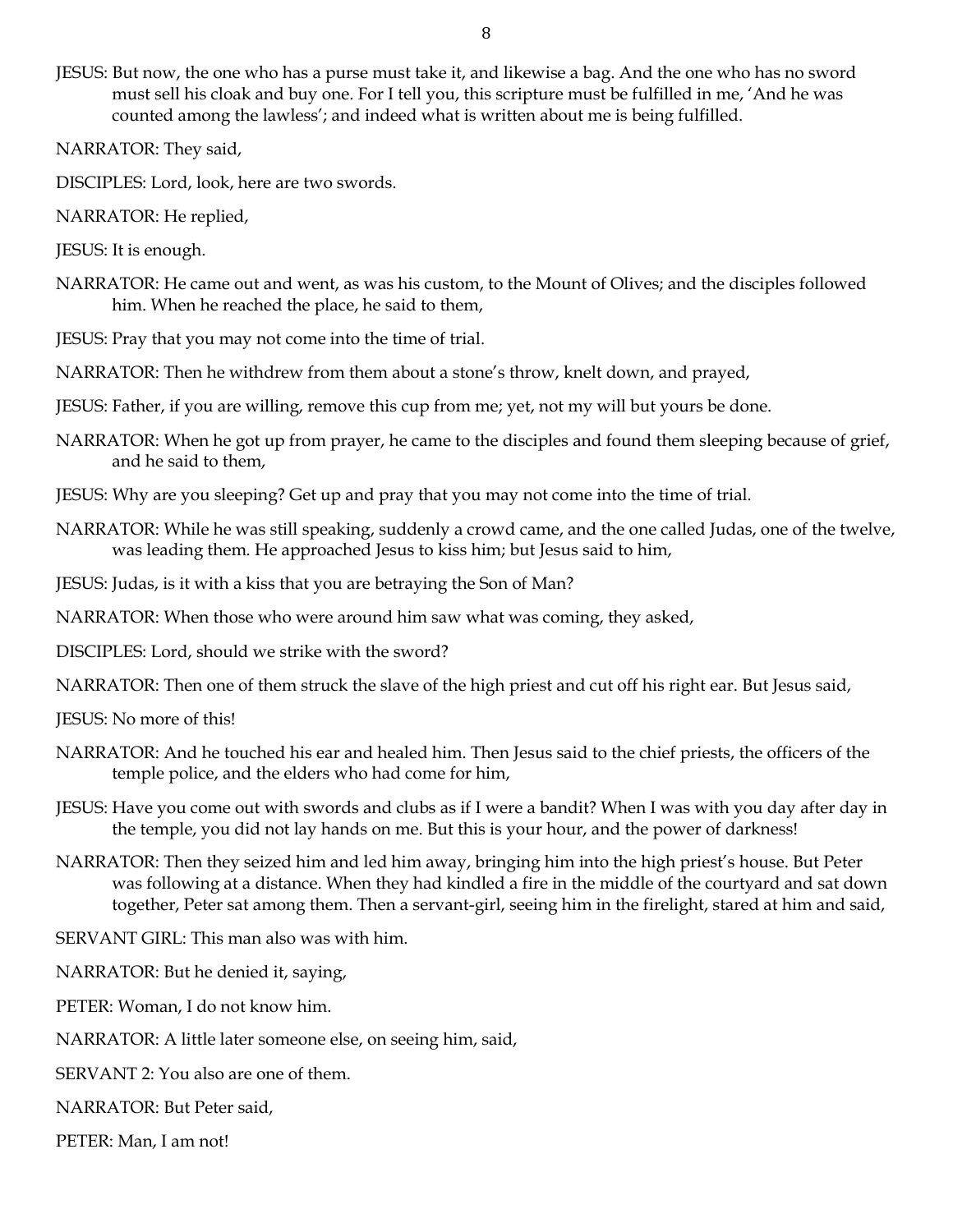- JESUS: But now, the one who has a purse must take it, and likewise a bag. And the one who has no sword must sell his cloak and buy one. For I tell you, this scripture must be fulfilled in me, 'And he was counted among the lawless'; and indeed what is written about me is being fulfilled.
- NARRATOR: They said,
- DISCIPLES: Lord, look, here are two swords.
- NARRATOR: He replied,
- JESUS: It is enough.
- NARRATOR: He came out and went, as was his custom, to the Mount of Olives; and the disciples followed him. When he reached the place, he said to them,
- JESUS: Pray that you may not come into the time of trial.
- NARRATOR: Then he withdrew from them about a stone's throw, knelt down, and prayed,
- JESUS: Father, if you are willing, remove this cup from me; yet, not my will but yours be done.
- NARRATOR: When he got up from prayer, he came to the disciples and found them sleeping because of grief, and he said to them,
- JESUS: Why are you sleeping? Get up and pray that you may not come into the time of trial.
- NARRATOR: While he was still speaking, suddenly a crowd came, and the one called Judas, one of the twelve, was leading them. He approached Jesus to kiss him; but Jesus said to him,
- JESUS: Judas, is it with a kiss that you are betraying the Son of Man?
- NARRATOR: When those who were around him saw what was coming, they asked,
- DISCIPLES: Lord, should we strike with the sword?
- NARRATOR: Then one of them struck the slave of the high priest and cut off his right ear. But Jesus said,
- JESUS: No more of this!
- NARRATOR: And he touched his ear and healed him. Then Jesus said to the chief priests, the officers of the temple police, and the elders who had come for him,
- JESUS: Have you come out with swords and clubs as if I were a bandit? When I was with you day after day in the temple, you did not lay hands on me. But this is your hour, and the power of darkness!
- NARRATOR: Then they seized him and led him away, bringing him into the high priest's house. But Peter was following at a distance. When they had kindled a fire in the middle of the courtyard and sat down together, Peter sat among them. Then a servant-girl, seeing him in the firelight, stared at him and said,
- SERVANT GIRL: This man also was with him.
- NARRATOR: But he denied it, saying,
- PETER: Woman, I do not know him.
- NARRATOR: A little later someone else, on seeing him, said,
- SERVANT 2: You also are one of them.
- NARRATOR: But Peter said,
- PETER: Man, I am not!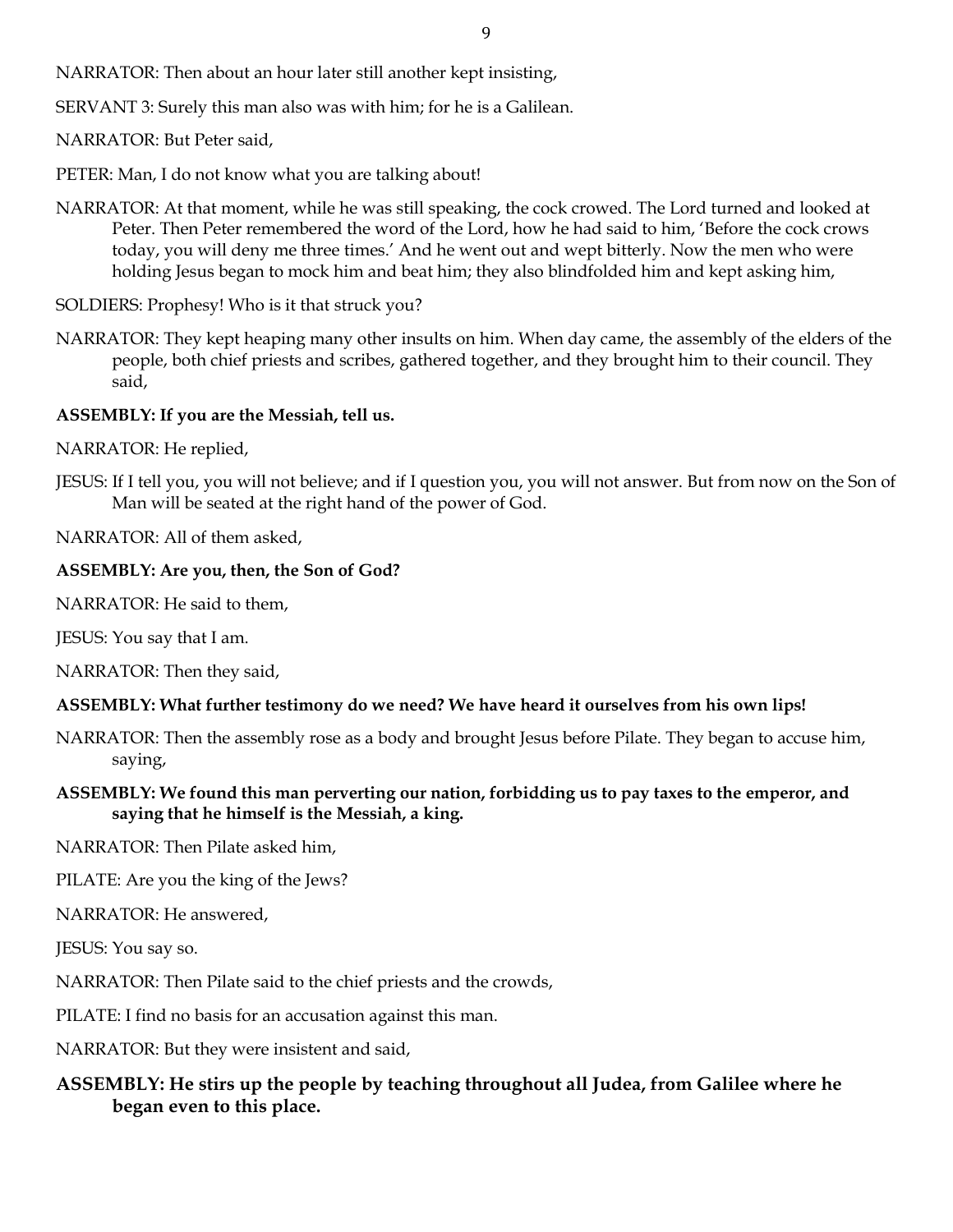NARRATOR: Then about an hour later still another kept insisting,

SERVANT 3: Surely this man also was with him; for he is a Galilean.

NARRATOR: But Peter said,

PETER: Man, I do not know what you are talking about!

NARRATOR: At that moment, while he was still speaking, the cock crowed. The Lord turned and looked at Peter. Then Peter remembered the word of the Lord, how he had said to him, 'Before the cock crows today, you will deny me three times.' And he went out and wept bitterly. Now the men who were holding Jesus began to mock him and beat him; they also blindfolded him and kept asking him,

SOLDIERS: Prophesy! Who is it that struck you?

NARRATOR: They kept heaping many other insults on him. When day came, the assembly of the elders of the people, both chief priests and scribes, gathered together, and they brought him to their council. They said,

## **ASSEMBLY: If you are the Messiah, tell us.**

NARRATOR: He replied,

JESUS: If I tell you, you will not believe; and if I question you, you will not answer. But from now on the Son of Man will be seated at the right hand of the power of God.

NARRATOR: All of them asked,

#### **ASSEMBLY: Are you, then, the Son of God?**

NARRATOR: He said to them,

JESUS: You say that I am.

NARRATOR: Then they said,

#### **ASSEMBLY: What further testimony do we need? We have heard it ourselves from his own lips!**

NARRATOR: Then the assembly rose as a body and brought Jesus before Pilate. They began to accuse him, saying,

#### **ASSEMBLY: We found this man perverting our nation, forbidding us to pay taxes to the emperor, and saying that he himself is the Messiah, a king.**

NARRATOR: Then Pilate asked him,

PILATE: Are you the king of the Jews?

NARRATOR: He answered,

JESUS: You say so.

NARRATOR: Then Pilate said to the chief priests and the crowds,

PILATE: I find no basis for an accusation against this man.

NARRATOR: But they were insistent and said,

# **ASSEMBLY: He stirs up the people by teaching throughout all Judea, from Galilee where he began even to this place.**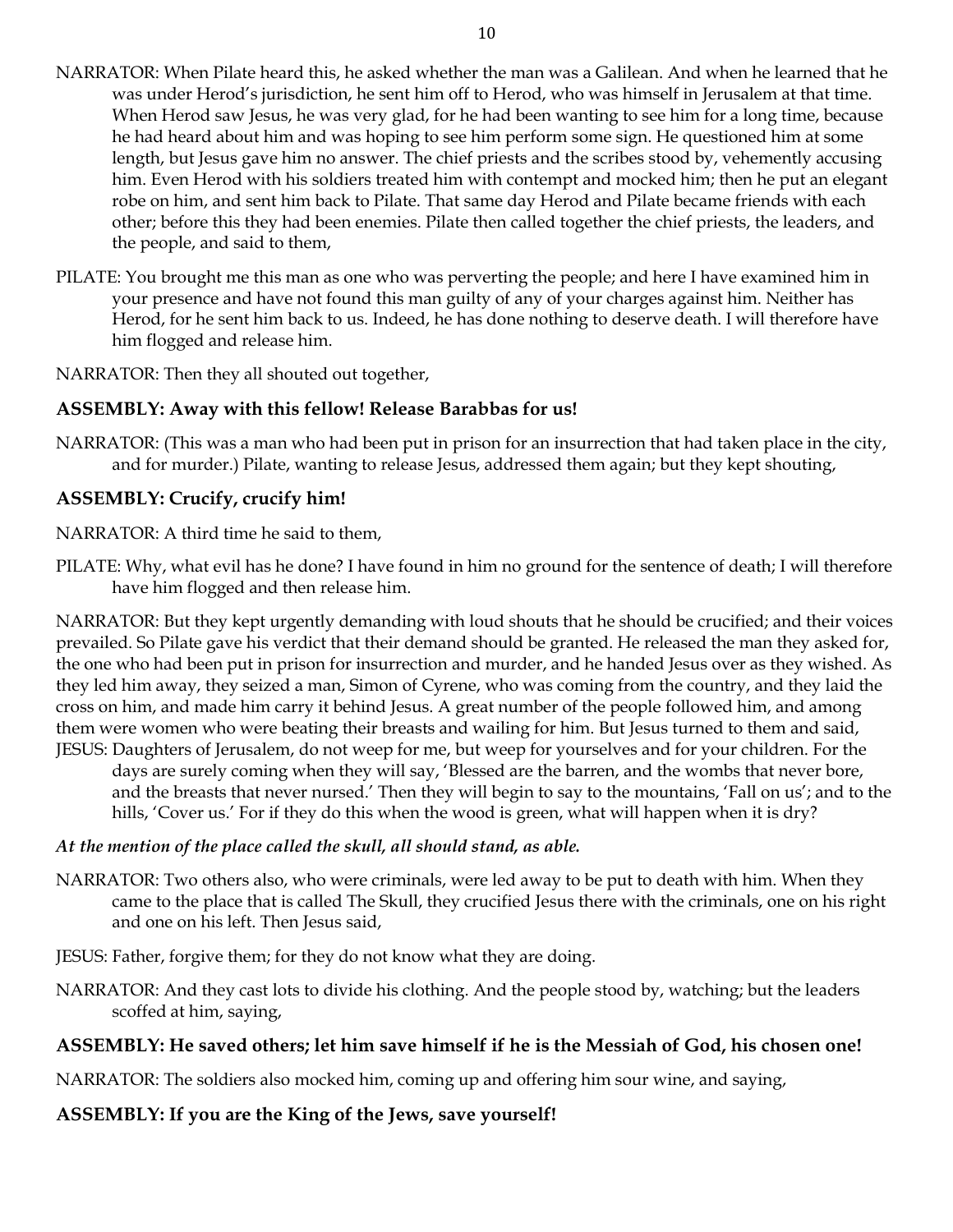- NARRATOR: When Pilate heard this, he asked whether the man was a Galilean. And when he learned that he was under Herod's jurisdiction, he sent him off to Herod, who was himself in Jerusalem at that time. When Herod saw Jesus, he was very glad, for he had been wanting to see him for a long time, because he had heard about him and was hoping to see him perform some sign. He questioned him at some length, but Jesus gave him no answer. The chief priests and the scribes stood by, vehemently accusing him. Even Herod with his soldiers treated him with contempt and mocked him; then he put an elegant robe on him, and sent him back to Pilate. That same day Herod and Pilate became friends with each other; before this they had been enemies. Pilate then called together the chief priests, the leaders, and the people, and said to them,
- PILATE: You brought me this man as one who was perverting the people; and here I have examined him in your presence and have not found this man guilty of any of your charges against him. Neither has Herod, for he sent him back to us. Indeed, he has done nothing to deserve death. I will therefore have him flogged and release him.

NARRATOR: Then they all shouted out together,

## **ASSEMBLY: Away with this fellow! Release Barabbas for us!**

NARRATOR: (This was a man who had been put in prison for an insurrection that had taken place in the city, and for murder.) Pilate, wanting to release Jesus, addressed them again; but they kept shouting,

## **ASSEMBLY: Crucify, crucify him!**

NARRATOR: A third time he said to them,

PILATE: Why, what evil has he done? I have found in him no ground for the sentence of death; I will therefore have him flogged and then release him.

NARRATOR: But they kept urgently demanding with loud shouts that he should be crucified; and their voices prevailed. So Pilate gave his verdict that their demand should be granted. He released the man they asked for, the one who had been put in prison for insurrection and murder, and he handed Jesus over as they wished. As they led him away, they seized a man, Simon of Cyrene, who was coming from the country, and they laid the cross on him, and made him carry it behind Jesus. A great number of the people followed him, and among them were women who were beating their breasts and wailing for him. But Jesus turned to them and said, JESUS: Daughters of Jerusalem, do not weep for me, but weep for yourselves and for your children. For the

days are surely coming when they will say, 'Blessed are the barren, and the wombs that never bore, and the breasts that never nursed.' Then they will begin to say to the mountains, 'Fall on us'; and to the hills, 'Cover us.' For if they do this when the wood is green, what will happen when it is dry?

#### *At the mention of the place called the skull, all should stand, as able.*

- NARRATOR: Two others also, who were criminals, were led away to be put to death with him. When they came to the place that is called The Skull, they crucified Jesus there with the criminals, one on his right and one on his left. Then Jesus said,
- JESUS: Father, forgive them; for they do not know what they are doing.
- NARRATOR: And they cast lots to divide his clothing. And the people stood by, watching; but the leaders scoffed at him, saying,

# **ASSEMBLY: He saved others; let him save himself if he is the Messiah of God, his chosen one!**

NARRATOR: The soldiers also mocked him, coming up and offering him sour wine, and saying,

#### **ASSEMBLY: If you are the King of the Jews, save yourself!**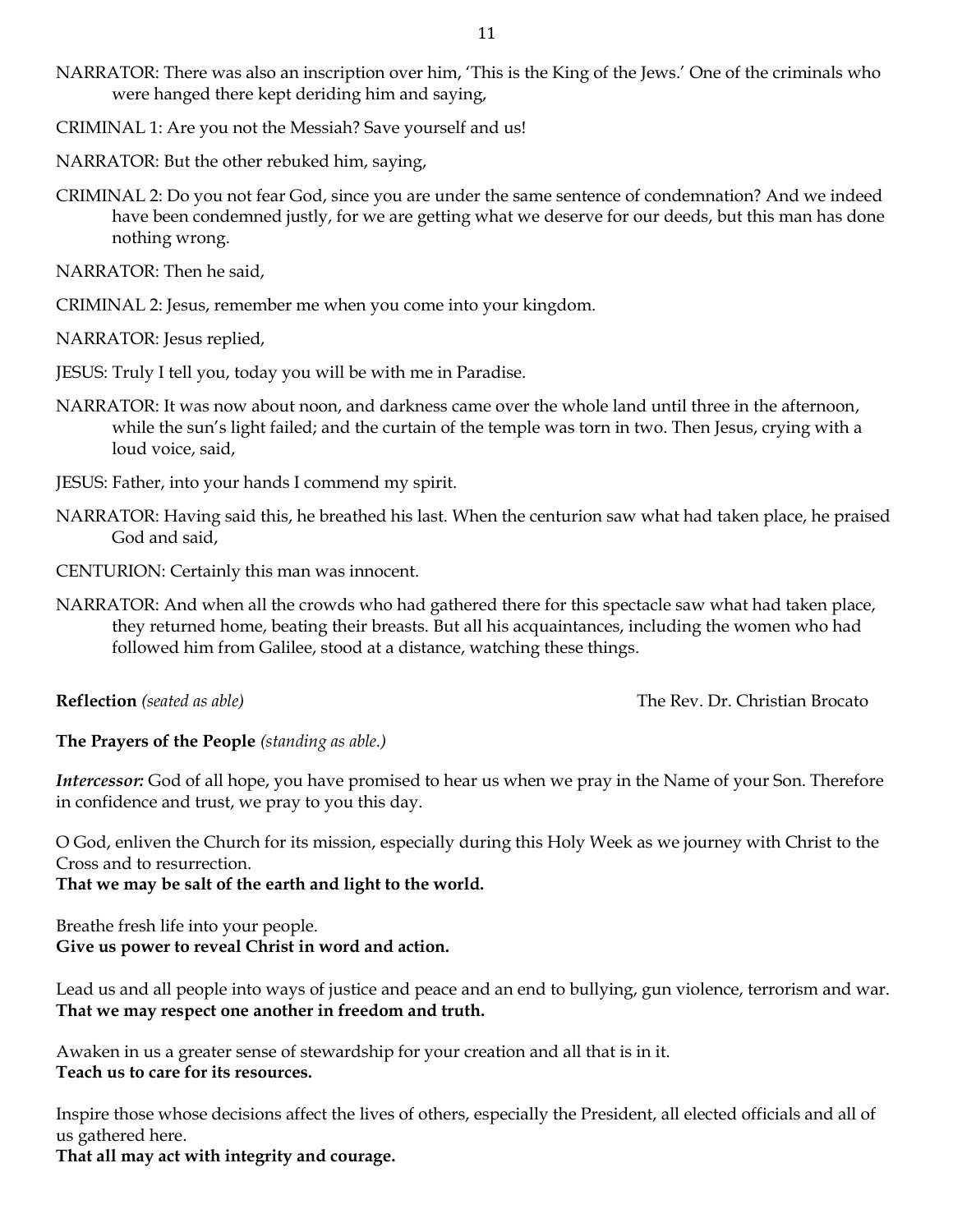- NARRATOR: There was also an inscription over him, 'This is the King of the Jews.' One of the criminals who were hanged there kept deriding him and saying,
- CRIMINAL 1: Are you not the Messiah? Save yourself and us!
- NARRATOR: But the other rebuked him, saying,
- CRIMINAL 2: Do you not fear God, since you are under the same sentence of condemnation? And we indeed have been condemned justly, for we are getting what we deserve for our deeds, but this man has done nothing wrong.
- NARRATOR: Then he said,
- CRIMINAL 2: Jesus, remember me when you come into your kingdom.
- NARRATOR: Jesus replied,
- JESUS: Truly I tell you, today you will be with me in Paradise.
- NARRATOR: It was now about noon, and darkness came over the whole land until three in the afternoon, while the sun's light failed; and the curtain of the temple was torn in two. Then Jesus, crying with a loud voice, said,
- JESUS: Father, into your hands I commend my spirit.
- NARRATOR: Having said this, he breathed his last. When the centurion saw what had taken place, he praised God and said,
- CENTURION: Certainly this man was innocent.
- NARRATOR: And when all the crowds who had gathered there for this spectacle saw what had taken place, they returned home, beating their breasts. But all his acquaintances, including the women who had followed him from Galilee, stood at a distance, watching these things.

**Reflection** (*seated as able*) *Reflection (seated as able) The Rev. Dr. Christian Brocato* 

**The Prayers of the People** *(standing as able.)*

*Intercessor:* God of all hope, you have promised to hear us when we pray in the Name of your Son. Therefore in confidence and trust, we pray to you this day.

O God, enliven the Church for its mission, especially during this Holy Week as we journey with Christ to the Cross and to resurrection.

**That we may be salt of the earth and light to the world.**

Breathe fresh life into your people.

**Give us power to reveal Christ in word and action.**

Lead us and all people into ways of justice and peace and an end to bullying, gun violence, terrorism and war. **That we may respect one another in freedom and truth.**

Awaken in us a greater sense of stewardship for your creation and all that is in it. **Teach us to care for its resources.**

Inspire those whose decisions affect the lives of others, especially the President, all elected officials and all of us gathered here.

**That all may act with integrity and courage.**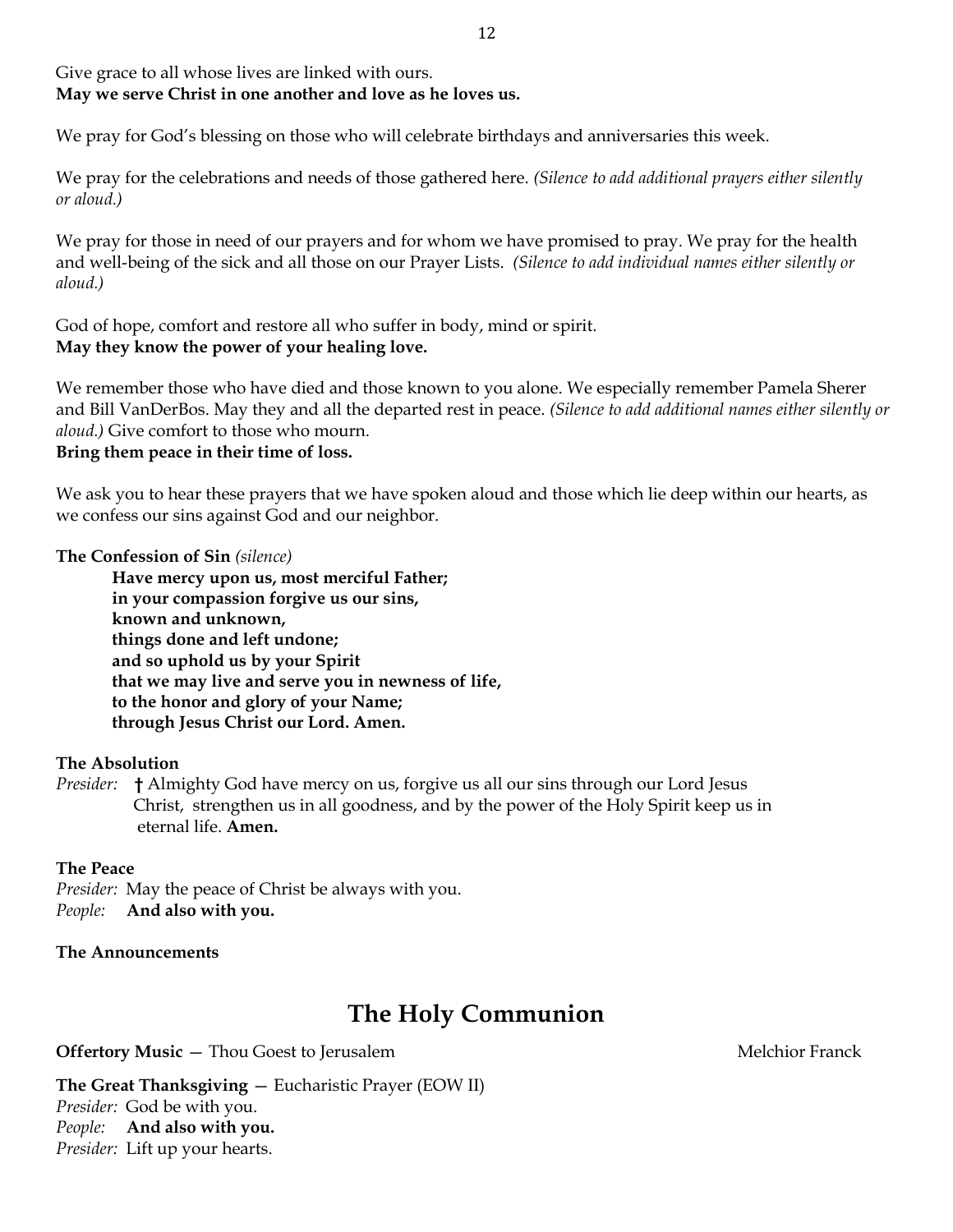# Give grace to all whose lives are linked with ours. **May we serve Christ in one another and love as he loves us.**

We pray for God's blessing on those who will celebrate birthdays and anniversaries this week.

We pray for the celebrations and needs of those gathered here. *(Silence to add additional prayers either silently or aloud.)*

We pray for those in need of our prayers and for whom we have promised to pray. We pray for the health and well-being of the sick and all those on our Prayer Lists. *(Silence to add individual names either silently or aloud.)*

God of hope, comfort and restore all who suffer in body, mind or spirit. **May they know the power of your healing love.**

We remember those who have died and those known to you alone. We especially remember Pamela Sherer and Bill VanDerBos. May they and all the departed rest in peace. *(Silence to add additional names either silently or aloud.)* Give comfort to those who mourn.

#### **Bring them peace in their time of loss.**

We ask you to hear these prayers that we have spoken aloud and those which lie deep within our hearts, as we confess our sins against God and our neighbor.

#### **The Confession of Sin** *(silence)*

**Have mercy upon us, most merciful Father; in your compassion forgive us our sins, known and unknown, things done and left undone; and so uphold us by your Spirit that we may live and serve you in newness of life, to the honor and glory of your Name; through Jesus Christ our Lord. Amen.**

#### **The Absolution**

*Presider:* **†** Almighty God have mercy on us, forgive us all our sins through our Lord Jesus Christ, strengthen us in all goodness, and by the power of the Holy Spirit keep us in eternal life. **Amen.**

#### **The Peace**

*Presider:* May the peace of Christ be always with you. *People:* **And also with you.**

**The Announcements**

# **The Holy Communion**

**Offertory Music - Thou Goest to Jerusalem Melchior Franck Melchior Franck** 

**The Great Thanksgiving** — Eucharistic Prayer (EOW II) *Presider:* God be with you. *People:* **And also with you.** *Presider:* Lift up your hearts.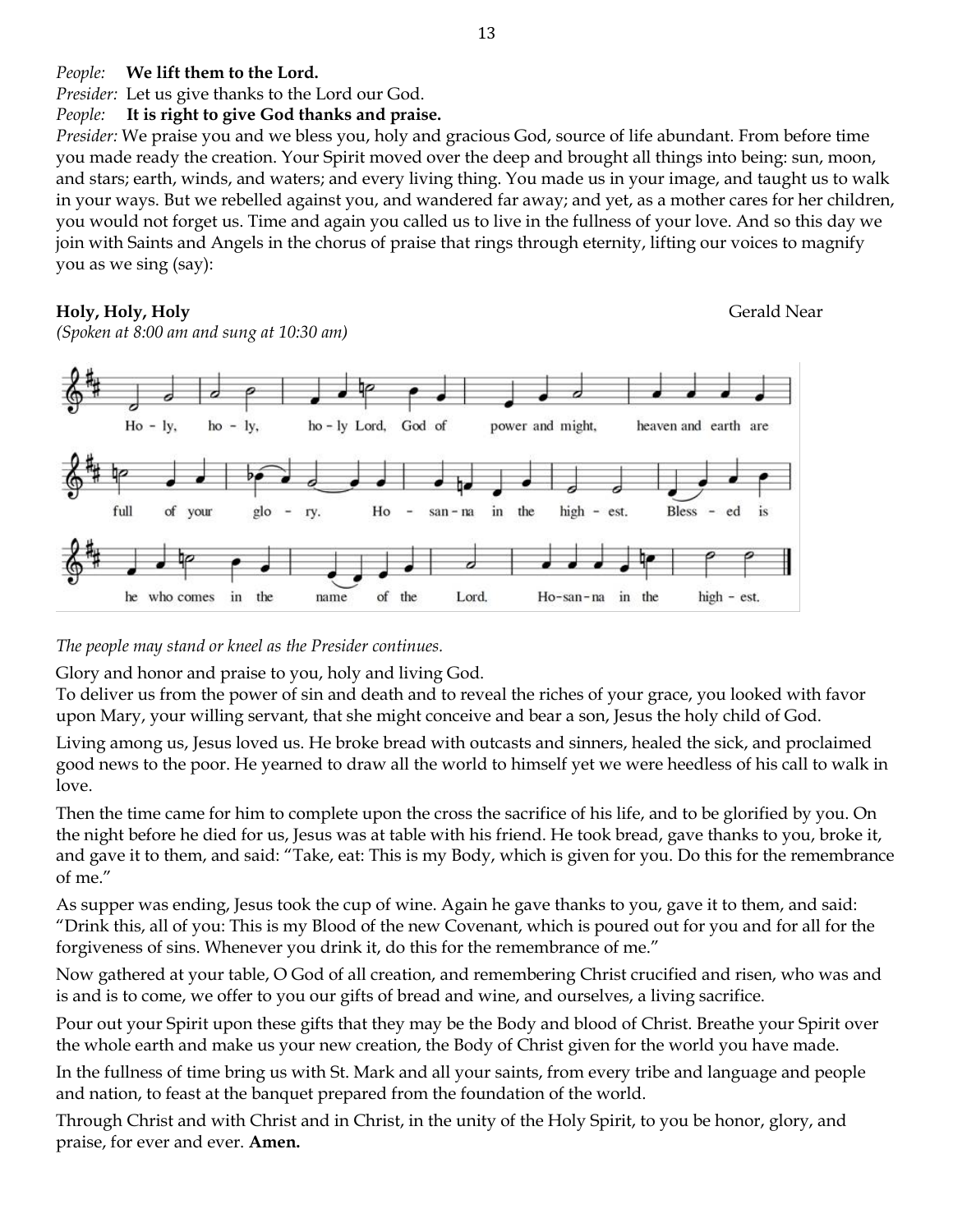#### *People:* **We lift them to the Lord.**

*Presider:* Let us give thanks to the Lord our God.

#### *People:* **It is right to give God thanks and praise.**

*Presider:* We praise you and we bless you, holy and gracious God, source of life abundant. From before time you made ready the creation. Your Spirit moved over the deep and brought all things into being: sun, moon, and stars; earth, winds, and waters; and every living thing. You made us in your image, and taught us to walk in your ways. But we rebelled against you, and wandered far away; and yet, as a mother cares for her children, you would not forget us. Time and again you called us to live in the fullness of your love. And so this day we join with Saints and Angels in the chorus of praise that rings through eternity, lifting our voices to magnify you as we sing (say):

#### **Holy, Holy, Holy** Gerald Near

*(Spoken at 8:00 am and sung at 10:30 am)*



#### *The people may stand or kneel as the Presider continues.*

Glory and honor and praise to you, holy and living God.

To deliver us from the power of sin and death and to reveal the riches of your grace, you looked with favor upon Mary, your willing servant, that she might conceive and bear a son, Jesus the holy child of God.

Living among us, Jesus loved us. He broke bread with outcasts and sinners, healed the sick, and proclaimed good news to the poor. He yearned to draw all the world to himself yet we were heedless of his call to walk in love.

Then the time came for him to complete upon the cross the sacrifice of his life, and to be glorified by you. On the night before he died for us, Jesus was at table with his friend. He took bread, gave thanks to you, broke it, and gave it to them, and said: "Take, eat: This is my Body, which is given for you. Do this for the remembrance of me."

As supper was ending, Jesus took the cup of wine. Again he gave thanks to you, gave it to them, and said: "Drink this, all of you: This is my Blood of the new Covenant, which is poured out for you and for all for the forgiveness of sins. Whenever you drink it, do this for the remembrance of me."

Now gathered at your table, O God of all creation, and remembering Christ crucified and risen, who was and is and is to come, we offer to you our gifts of bread and wine, and ourselves, a living sacrifice.

Pour out your Spirit upon these gifts that they may be the Body and blood of Christ. Breathe your Spirit over the whole earth and make us your new creation, the Body of Christ given for the world you have made.

In the fullness of time bring us with St. Mark and all your saints, from every tribe and language and people and nation, to feast at the banquet prepared from the foundation of the world.

Through Christ and with Christ and in Christ, in the unity of the Holy Spirit, to you be honor, glory, and praise, for ever and ever. **Amen.**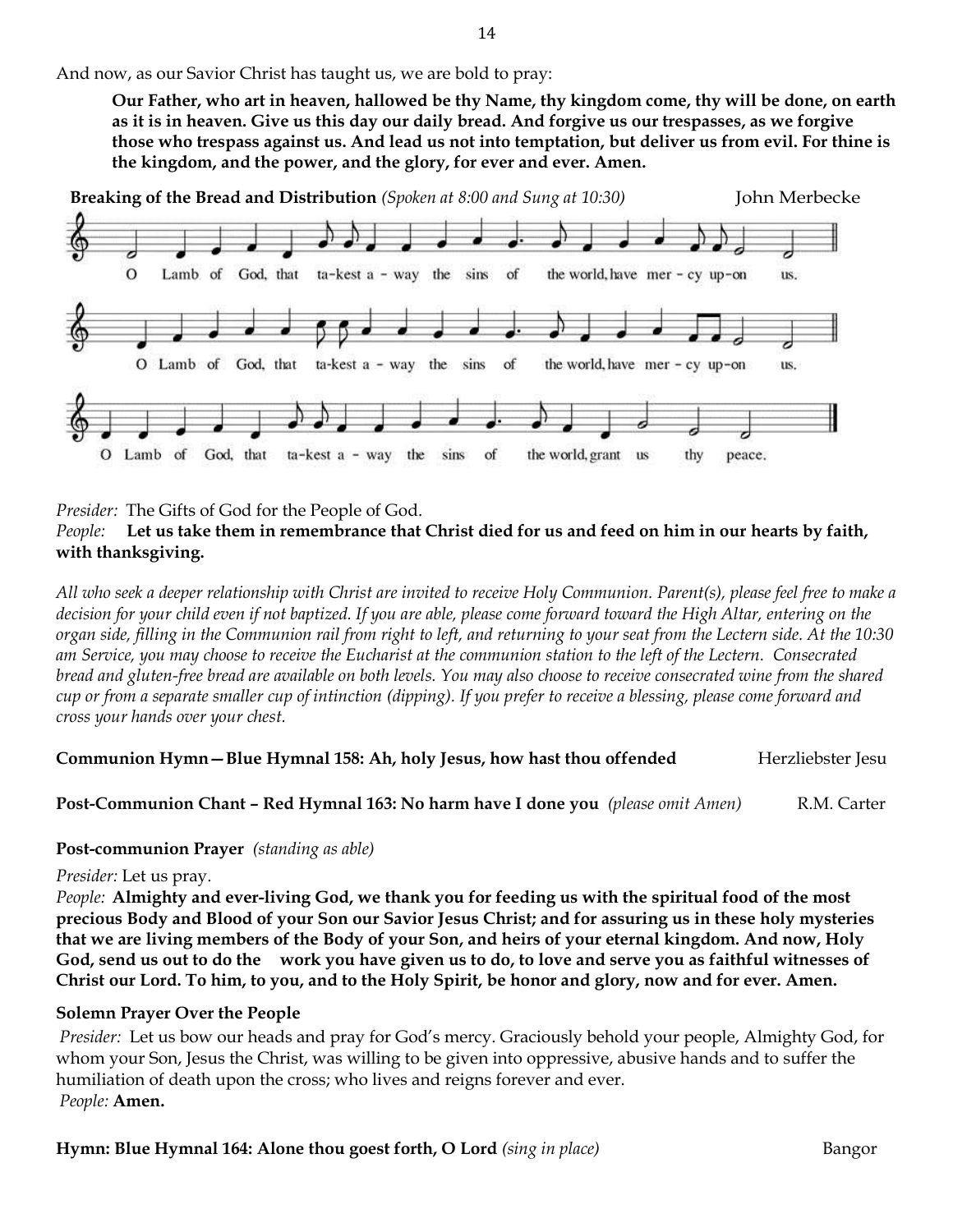And now, as our Savior Christ has taught us, we are bold to pray:

**Our Father, who art in heaven, hallowed be thy Name, thy kingdom come, thy will be done, on earth as it is in heaven. Give us this day our daily bread. And forgive us our trespasses, as we forgive those who trespass against us. And lead us not into temptation, but deliver us from evil. For thine is the kingdom, and the power, and the glory, for ever and ever. Amen.**



#### *Presider:* The Gifts of God for the People of God.

# *People:* **Let us take them in remembrance that Christ died for us and feed on him in our hearts by faith, with thanksgiving.**

*All who seek a deeper relationship with Christ are invited to receive Holy Communion. Parent(s), please feel free to make a decision for your child even if not baptized. If you are able, please come forward toward the High Altar, entering on the organ side, filling in the Communion rail from right to left, and returning to your seat from the Lectern side. At the 10:30 am Service, you may choose to receive the Eucharist at the communion station to the left of the Lectern. Consecrated bread and gluten-free bread are available on both levels. You may also choose to receive consecrated wine from the shared cup or from a separate smaller cup of intinction (dipping). If you prefer to receive a blessing, please come forward and cross your hands over your chest.* 

#### **Communion Hymn-Blue Hymnal 158: Ah, holy Jesus, how hast thou offended Herzliebster Jesu**

**Post-Communion Chant – Red Hymnal 163: No harm have I done you** *(please omit Amen)*R.M. Carter

#### **Post-communion Prayer** *(standing as able)*

#### *Presider:* Let us pray.

*People:* **Almighty and ever-living God, we thank you for feeding us with the spiritual food of the most precious Body and Blood of your Son our Savior Jesus Christ; and for assuring us in these holy mysteries that we are living members of the Body of your Son, and heirs of your eternal kingdom. And now, Holy God, send us out to do the work you have given us to do, to love and serve you as faithful witnesses of Christ our Lord. To him, to you, and to the Holy Spirit, be honor and glory, now and for ever. Amen.**

#### **Solemn Prayer Over the People**

*Presider:* Let us bow our heads and pray for God's mercy. Graciously behold your people, Almighty God, for whom your Son, Jesus the Christ, was willing to be given into oppressive, abusive hands and to suffer the humiliation of death upon the cross; who lives and reigns forever and ever. *People:* **Amen.**

**Hymn: Blue Hymnal 164: Alone thou goest forth, O Lord** *(sing in place)* **Bangor Bangor**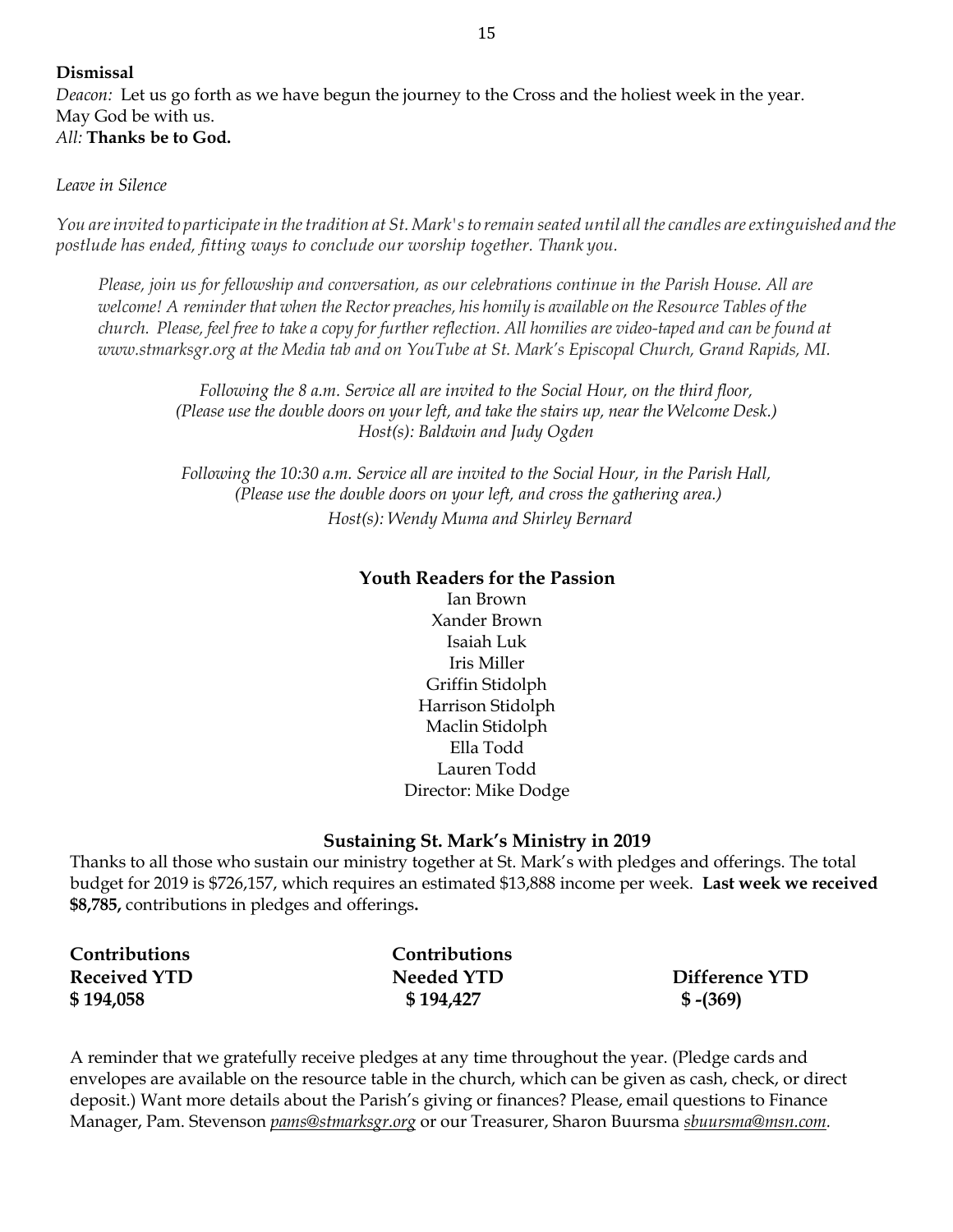#### **Dismissal**

*Deacon:* Let us go forth as we have begun the journey to the Cross and the holiest week in the year. May God be with us. *All:* **Thanks be to God.**

#### *Leave in Silence*

You are invited to participate in the tradition at St. Mark's to remain seated until all the candles are extinguished and the *postlude has ended, fitting ways to conclude our worship together. Thank you.*

*Please, join us for fellowship and conversation, as our celebrations continue in the Parish House. All are welcome! A reminder that when the Rector preaches, his homily is available on the Resource Tables of the* church. Please, feel free to take a copy for further reflection. All homilies are video-taped and can be found at *[www.stmarksgr.org](http://www.stmarksgr.org/) at the Media tab and on YouTube at St. Mark's Episcopal Church, Grand Rapids, MI.*

> *Following the 8 a.m. Service all are invited to the Social Hour, on the third floor, (Please use the double doors on your left, and take the stairs up, near the Welcome Desk.) Host(s): Baldwin and Judy Ogden*

*Following the 10:30 a.m. Service all are invited to the Social Hour, in the Parish Hall, (Please use the double doors on your left, and cross the gathering area.) Host(s): Wendy Muma and Shirley Bernard*

#### **Youth Readers for the Passion**

Ian Brown Xander Brown Isaiah Luk Iris Miller Griffin Stidolph Harrison Stidolph Maclin Stidolph Ella Todd Lauren Todd Director: Mike Dodge

#### **Sustaining St. Mark's Ministry in 2019**

Thanks to all those who sustain our ministry together at St. Mark's with pledges and offerings. The total budget for 2019 is \$726,157, which requires an estimated \$13,888 income per week. **Last week we received \$8,785,** contributions in pledges and offerings**.**

| <b>Contributions</b> | <b>Contributions</b> |                |
|----------------------|----------------------|----------------|
| <b>Received YTD</b>  | Needed YTD           | Difference YTD |
| \$194,058            | \$194,427            | $$-(369)$      |

A reminder that we gratefully receive pledges at any time throughout the year. (Pledge cards and envelopes are available on the resource table in the church, which can be given as cash, check, or direct deposit.) Want more details about the Parish's giving or finances? Please, email questions to Finance Manager, Pam. Stevenson *[pams@stmarksgr.org](mailto:pams@stmarksgr.org)* or our Treasurer, Sharon Buursma *[sbuursma@msn.com.](mailto:sbuursma@msn.com)*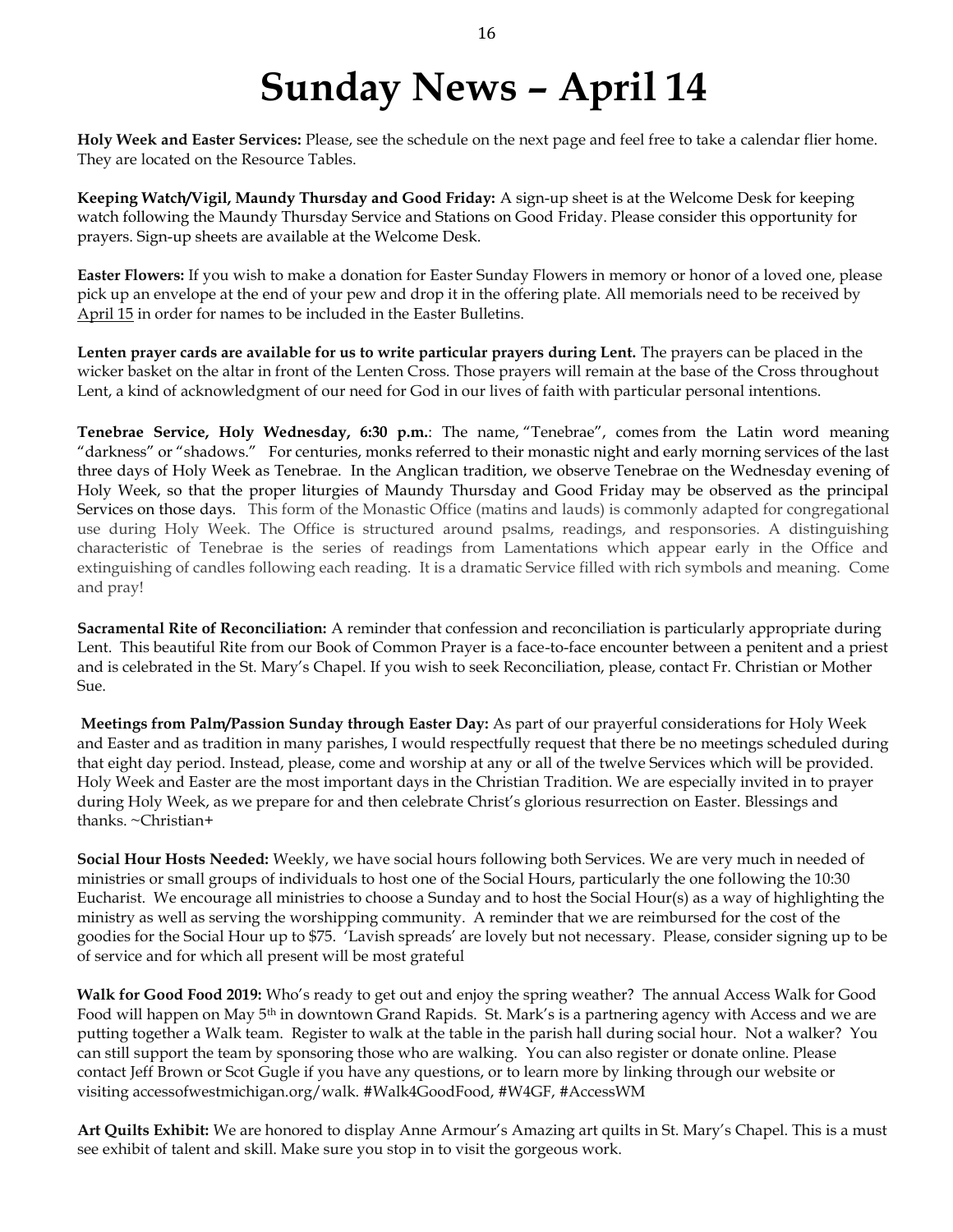# **Sunday News – April 14**

**Holy Week and Easter Services:** Please, see the schedule on the next page and feel free to take a calendar flier home. They are located on the Resource Tables.

**Keeping Watch/Vigil, Maundy Thursday and Good Friday:** A sign-up sheet is at the Welcome Desk for keeping watch following the Maundy Thursday Service and Stations on Good Friday. Please consider this opportunity for prayers. Sign-up sheets are available at the Welcome Desk.

**Easter Flowers:** If you wish to make a donation for Easter Sunday Flowers in memory or honor of a loved one, please pick up an envelope at the end of your pew and drop it in the offering plate. All memorials need to be received by April 15 in order for names to be included in the Easter Bulletins.

**Lenten prayer cards are available for us to write particular prayers during Lent.** The prayers can be placed in the wicker basket on the altar in front of the Lenten Cross. Those prayers will remain at the base of the Cross throughout Lent, a kind of acknowledgment of our need for God in our lives of faith with particular personal intentions.

**Tenebrae Service, Holy Wednesday, 6:30 p.m.**: The name, "Tenebrae", comes from the Latin word meaning "darkness" or "shadows." For centuries, monks referred to their monastic night and early morning services of the last three days of Holy Week as Tenebrae. In the Anglican tradition, we observe Tenebrae on the Wednesday evening of Holy Week, so that the proper liturgies of Maundy Thursday and Good Friday may be observed as the principal Services on those days. This form of the Monastic Office (matins and lauds) is commonly adapted for congregational use during Holy Week. The Office is structured around psalms, readings, and responsories. A distinguishing characteristic of Tenebrae is the series of readings from Lamentations which appear early in the Office and extinguishing of candles following each reading. It is a dramatic Service filled with rich symbols and meaning. Come and pray!

**Sacramental Rite of Reconciliation:** A reminder that confession and reconciliation is particularly appropriate during Lent. This beautiful Rite from our Book of Common Prayer is a face-to-face encounter between a penitent and a priest and is celebrated in the St. Mary's Chapel. If you wish to seek Reconciliation, please, contact Fr. Christian or Mother Sue.

**Meetings from Palm/Passion Sunday through Easter Day:** As part of our prayerful considerations for Holy Week and Easter and as tradition in many parishes, I would respectfully request that there be no meetings scheduled during that eight day period. Instead, please, come and worship at any or all of the twelve Services which will be provided. Holy Week and Easter are the most important days in the Christian Tradition. We are especially invited in to prayer during Holy Week, as we prepare for and then celebrate Christ's glorious resurrection on Easter. Blessings and thanks. ~Christian+

**Social Hour Hosts Needed:** Weekly, we have social hours following both Services. We are very much in needed of ministries or small groups of individuals to host one of the Social Hours, particularly the one following the 10:30 Eucharist. We encourage all ministries to choose a Sunday and to host the Social Hour(s) as a way of highlighting the ministry as well as serving the worshipping community. A reminder that we are reimbursed for the cost of the goodies for the Social Hour up to \$75. 'Lavish spreads' are lovely but not necessary. Please, consider signing up to be of service and for which all present will be most grateful

**Walk for Good Food 2019:** Who's ready to get out and enjoy the spring weather? The annual Access Walk for Good Food will happen on May 5th in downtown Grand Rapids. St. Mark's is a partnering agency with Access and we are putting together a Walk team. Register to walk at the table in the parish hall during social hour. Not a walker? You can still support the team by sponsoring those who are walking. You can also register or donate online. Please contact Jeff Brown or Scot Gugle if you have any questions, or to learn more by linking through our website or visiting accessofwestmichigan.org/walk. #Walk4GoodFood, #W4GF, #AccessWM

**Art Quilts Exhibit:** We are honored to display Anne Armour's Amazing art quilts in St. Mary's Chapel. This is a must see exhibit of talent and skill. Make sure you stop in to visit the gorgeous work.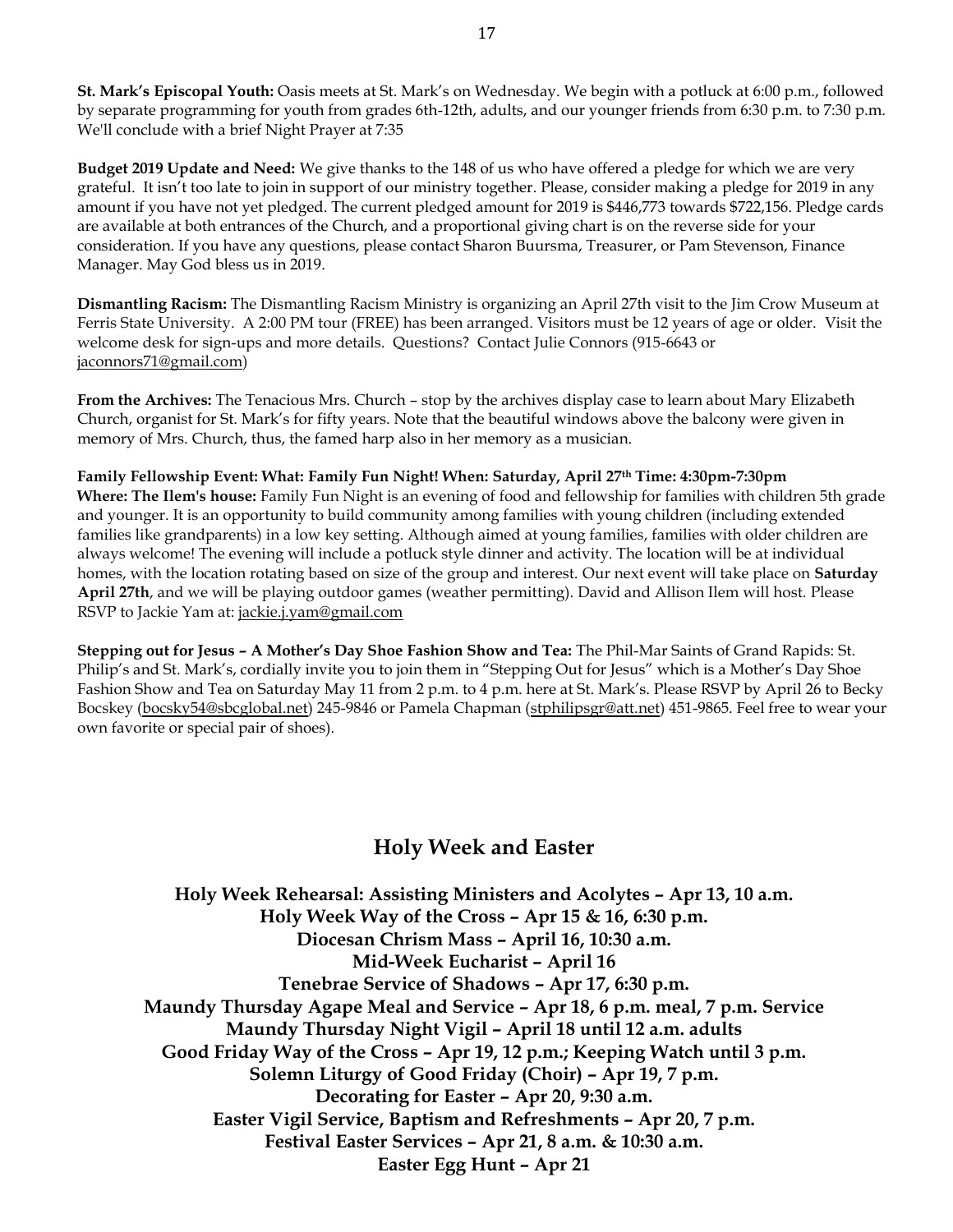**St. Mark's Episcopal Youth:** Oasis meets at St. Mark's on Wednesday. We begin with a potluck at 6:00 p.m., followed by separate programming for youth from grades 6th-12th, adults, and our younger friends from 6:30 p.m. to 7:30 p.m. We'll conclude with a brief Night Prayer at 7:35

**Budget 2019 Update and Need:** We give thanks to the 148 of us who have offered a pledge for which we are very grateful. It isn't too late to join in support of our ministry together. Please, consider making a pledge for 2019 in any amount if you have not yet pledged. The current pledged amount for 2019 is \$446,773 towards \$722,156. Pledge cards are available at both entrances of the Church, and a proportional giving chart is on the reverse side for your consideration. If you have any questions, please contact Sharon Buursma, Treasurer, or Pam Stevenson, Finance Manager. May God bless us in 2019.

**Dismantling Racism:** The Dismantling Racism Ministry is organizing an April 27th visit to the Jim Crow Museum at Ferris State University. A 2:00 PM tour (FREE) has been arranged. Visitors must be 12 years of age or older. Visit the welcome desk for sign-ups and more details. Questions? Contact Julie Connors (915-6643 or [jaconnors71@gmail.com\)](mailto:jaconnors71@gmail.com)

**From the Archives:** The Tenacious Mrs. Church – stop by the archives display case to learn about Mary Elizabeth Church, organist for St. Mark's for fifty years. Note that the beautiful windows above the balcony were given in memory of Mrs. Church, thus, the famed harp also in her memory as a musician.

**Family Fellowship Event: What: Family Fun Night! When: Saturday, April 27th Time: 4:30pm-7:30pm Where: The Ilem's house:** Family Fun Night is an evening of food and fellowship for families with children 5th grade and younger. It is an opportunity to build community among families with young children (including extended families like grandparents) in a low key setting. Although aimed at young families, families with older children are always welcome! The evening will include a potluck style dinner and activity. The location will be at individual homes, with the location rotating based on size of the group and interest. Our next event will take place on **Saturday April 27th**, and we will be playing outdoor games (weather permitting). David and Allison Ilem will host. Please RSVP to Jackie Yam at: [jackie.j.yam@gmail.com](mailto:jackie.j.yam@gmail.com)

**Stepping out for Jesus – A Mother's Day Shoe Fashion Show and Tea:** The Phil-Mar Saints of Grand Rapids: St. Philip's and St. Mark's, cordially invite you to join them in "Stepping Out for Jesus" which is a Mother's Day Shoe Fashion Show and Tea on Saturday May 11 from 2 p.m. to 4 p.m. here at St. Mark's. Please RSVP by April 26 to Becky Bocskey [\(bocsky54@sbcglobal.net\)](mailto:bocsky54@sbcglobal.net) 245-9846 or Pamela Chapman [\(stphilipsgr@att.net\)](mailto:stphilipsgr@att.net) 451-9865. Feel free to wear your own favorite or special pair of shoes).

# **Holy Week and Easter**

**Holy Week Rehearsal: Assisting Ministers and Acolytes – Apr 13, 10 a.m. Holy Week Way of the Cross – Apr 15 & 16, 6:30 p.m. Diocesan Chrism Mass – April 16, 10:30 a.m. Mid-Week Eucharist – April 16 Tenebrae Service of Shadows – Apr 17, 6:30 p.m. Maundy Thursday Agape Meal and Service – Apr 18, 6 p.m. meal, 7 p.m. Service Maundy Thursday Night Vigil – April 18 until 12 a.m. adults Good Friday Way of the Cross – Apr 19, 12 p.m.; Keeping Watch until 3 p.m. Solemn Liturgy of Good Friday (Choir) – Apr 19, 7 p.m. Decorating for Easter – Apr 20, 9:30 a.m. Easter Vigil Service, Baptism and Refreshments – Apr 20, 7 p.m. Festival Easter Services – Apr 21, 8 a.m. & 10:30 a.m. Easter Egg Hunt – Apr 21**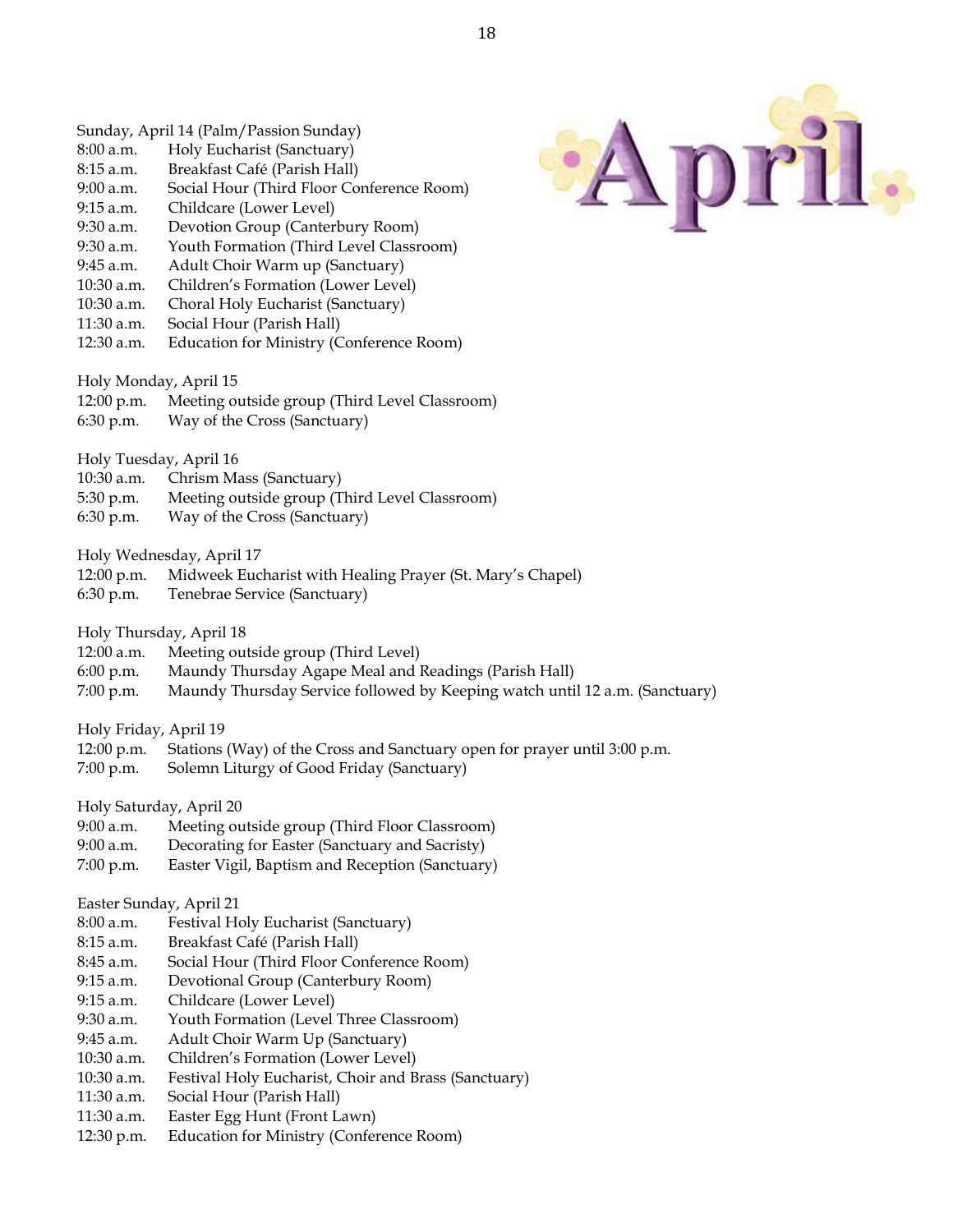

- Sunday, April 14 (Palm/Passion Sunday)
- 8:00 a.m. Holy Eucharist (Sanctuary)
- 8:15 a.m. Breakfast Café (Parish Hall)
- 9:00 a.m. Social Hour (Third Floor Conference Room)
- 9:15 a.m. Childcare (Lower Level)
- 9:30 a.m. Devotion Group (Canterbury Room)
- 9:30 a.m. Youth Formation (Third Level Classroom)
- 9:45 a.m. Adult Choir Warm up (Sanctuary)
- 10:30 a.m. Children's Formation (Lower Level)
- 10:30 a.m. Choral Holy Eucharist (Sanctuary)
- 11:30 a.m. Social Hour (Parish Hall)
- 12:30 a.m. Education for Ministry (Conference Room)
- Holy Monday, April 15
- 12:00 p.m. Meeting outside group (Third Level Classroom)
- 6:30 p.m. Way of the Cross (Sanctuary)
- Holy Tuesday, April 16
- 10:30 a.m. Chrism Mass (Sanctuary)
- 5:30 p.m. Meeting outside group (Third Level Classroom)
- 6:30 p.m. Way of the Cross (Sanctuary)
- Holy Wednesday, April 17
- 12:00 p.m. Midweek Eucharist with Healing Prayer (St. Mary's Chapel)
- 6:30 p.m. Tenebrae Service (Sanctuary)

Holy Thursday, April 18

- 12:00 a.m. Meeting outside group (Third Level)
- 6:00 p.m. Maundy Thursday Agape Meal and Readings (Parish Hall)
- 7:00 p.m. Maundy Thursday Service followed by Keeping watch until 12 a.m. (Sanctuary)

Holy Friday, April 19

- 12:00 p.m. Stations (Way) of the Cross and Sanctuary open for prayer until 3:00 p.m.
- 7:00 p.m. Solemn Liturgy of Good Friday (Sanctuary)

Holy Saturday, April 20

- 9:00 a.m. Meeting outside group (Third Floor Classroom)
- 9:00 a.m. Decorating for Easter (Sanctuary and Sacristy)
- 7:00 p.m. Easter Vigil, Baptism and Reception (Sanctuary)

#### Easter Sunday, April 21

- 8:00 a.m. Festival Holy Eucharist (Sanctuary)
- 8:15 a.m. Breakfast Café (Parish Hall)
- 8:45 a.m. Social Hour (Third Floor Conference Room)
- 9:15 a.m. Devotional Group (Canterbury Room)
- 9:15 a.m. Childcare (Lower Level)
- 9:30 a.m. Youth Formation (Level Three Classroom)
- 9:45 a.m. Adult Choir Warm Up (Sanctuary)
- 10:30 a.m. Children's Formation (Lower Level)
- 10:30 a.m. Festival Holy Eucharist, Choir and Brass (Sanctuary)
- 11:30 a.m. Social Hour (Parish Hall)
- 11:30 a.m. Easter Egg Hunt (Front Lawn)
- 12:30 p.m. Education for Ministry (Conference Room)